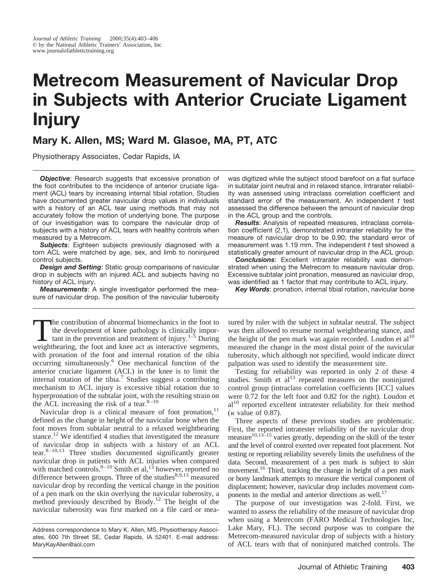# **Metrecom Measurement of Navicular Drop in Subjects with Anterior Cruciate Ligament Injury**

# **Mary K. Allen, MS; Ward M. Glasoe, MA, PT, ATC**

Physiotherapy Associates, Cedar Rapids, IA

**Objective:** Research suggests that excessive pronation of the foot contributes to the incidence of anterior cruciate ligament (ACL) tears by increasing internal tibial rotation. Studies have documented greater navicular drop values in individuals with a history of an ACL tear using methods that may not accurately follow the motion of underlying bone. The purpose of our investigation was to compare the navicular drop of subjects with a history of ACL tears with healthy controls when measured by a Metrecom.

*Subjects*: Eighteen subjects previously diagnosed with a torn ACL were matched by age, sex, and limb to noninjured control subjects.

*Design and Setting*: Static group comparisons of navicular drop in subjects with an injured ACL and subjects having no history of ACL injury.

*Measurements*: A single investigator performed the measure of navicular drop. The position of the navicular tuberosity

The contribution of abnormal biomechanics in the foot to<br>the development of knee pathology is clinically impor-<br>tant in the prevention and treatment of injury.<sup>1–5</sup> During<br>weighthearing the foot and knee act as interactiv the development of knee pathology is clinically imporweightbearing, the foot and knee act as interactive segments, with pronation of the foot and internal rotation of the tibia occurring simultaneously.6 One mechanical function of the anterior cruciate ligament (ACL) in the knee is to limit the internal rotation of the tibia.<sup>7</sup> Studies suggest a contributing mechanism to ACL injury is excessive tibial rotation due to hyperpronation of the subtalar joint, with the resulting strain on the ACL increasing the risk of a tear. $8-10$ 

Navicular drop is a clinical measure of foot pronation, $11$ defined as the change in height of the navicular bone when the foot moves from subtalar neutral to a relaxed weightbearing stance.<sup>12</sup> We identified 4 studies that investigated the measure of navicular drop in subjects with a history of an ACL tear.8–10,13 Three studies documented significantly greater navicular drop in patients with ACL injuries when compared with matched controls.<sup>8–10</sup> Smith et al,<sup>13</sup> however, reported no difference between groups. Three of the studies $8,9,13$  measured navicular drop by recording the vertical change in the position of a pen mark on the skin overlying the navicular tuberosity, a method previously described by Brody.<sup>12</sup> The height of the navicular tuberosity was first marked on a file card or meawas digitized while the subject stood barefoot on a flat surface in subtalar joint neutral and in relaxed stance. Intrarater reliability was assessed using intraclass correlation coefficient and standard error of the measurement. An independent *t* test assessed the difference between the amount of navicular drop in the ACL group and the controls.

*Results*: Analysis of repeated measures, intraclass correlation coefficient (2,1), demonstrated intrarater reliability for the measure of navicular drop to be 0.90; the standard error of measurement was 1.19 mm. The independent *t* test showed a statistically greater amount of navicular drop in the ACL group.

*Conclusions*: Excellent intrarater reliability was demonstrated when using the Metrecom to measure navicular drop. Excessive subtalar joint pronation, measured as navicular drop, was identified as 1 factor that may contribute to ACL injury.

*Key Words*: pronation, internal tibial rotation, navicular bone

sured by ruler with the subject in subtalar neutral. The subject was then allowed to resume normal weightbearing stance, and the height of the pen mark was again recorded. Loudon et al<sup>10</sup> measured the change in the most distal point of the navicular tuberosity, which although not specified, would indicate direct palpation was used to identify the measurement site.

Testing for reliability was reported in only 2 of these 4 studies. Smith et  $al<sup>13</sup>$  repeated measures on the noninjured control group (intraclass correlation coefficients [ICC] values were 0.72 for the left foot and 0.82 for the right). Loudon et al<sup>10</sup> reported excellent intratester reliability for their method  $(\kappa$  value of 0.87).

Three aspects of these previous studies are problematic. First, the reported intratester reliability of the navicular drop measure<sup>10,13–15</sup> varies greatly, depending on the skill of the tester and the level of control exerted over repeated foot placement. Not testing or reporting reliability severely limits the usefulness of the data. Second, measurement of a pen mark is subject to skin movement.<sup>16</sup> Third, tracking the change in height of a pen mark or bony landmark attempts to measure the vertical component of displacement; however, navicular drop includes movement components in the medial and anterior directions as well.<sup>17</sup>

The purpose of our investigation was 2-fold. First, we wanted to assess the reliability of the measure of navicular drop when using a Metrecom (FARO Medical Technologies Inc, Lake Mary, FL). The second purpose was to compare the Metrecom-measured navicular drop of subjects with a history of ACL tears with that of noninjured matched controls. The

Address correspondence to Mary K. Allen, MS, Physiotherapy Associates, 600 7th Street SE, Cedar Rapids, IA 52401. E-mail address: MaryKayAllen@aol.com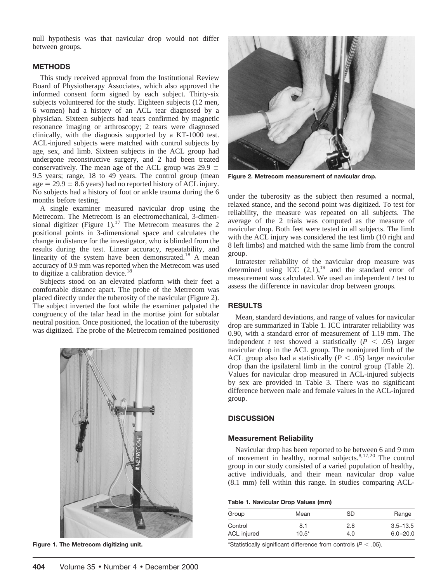null hypothesis was that navicular drop would not differ between groups.

## **METHODS**

This study received approval from the Institutional Review Board of Physiotherapy Associates, which also approved the informed consent form signed by each subject. Thirty-six subjects volunteered for the study. Eighteen subjects (12 men, 6 women) had a history of an ACL tear diagnosed by a physician. Sixteen subjects had tears confirmed by magnetic resonance imaging or arthroscopy; 2 tears were diagnosed clinically, with the diagnosis supported by a KT-1000 test. ACL-injured subjects were matched with control subjects by age, sex, and limb. Sixteen subjects in the ACL group had undergone reconstructive surgery, and 2 had been treated conservatively. The mean age of the ACL group was 29.9  $\pm$ 9.5 years; range, 18 to 49 years. The control group (mean age  $= 29.9 \pm 8.6$  years) had no reported history of ACL injury. No subjects had a history of foot or ankle trauma during the 6 months before testing.

A single examiner measured navicular drop using the Metrecom. The Metrecom is an electromechanical, 3-dimensional digitizer (Figure 1).<sup>17</sup> The Metrecom measures the 2 positional points in 3-dimensional space and calculates the change in distance for the investigator, who is blinded from the results during the test. Linear accuracy, repeatability, and linearity of the system have been demonstrated.<sup>18</sup> A mean accuracy of 0.9 mm was reported when the Metrecom was used to digitize a calibration device.<sup>18</sup>

Subjects stood on an elevated platform with their feet a comfortable distance apart. The probe of the Metrecom was placed directly under the tuberosity of the navicular (Figure 2). The subject inverted the foot while the examiner palpated the congruency of the talar head in the mortise joint for subtalar neutral position. Once positioned, the location of the tuberosity was digitized. The probe of the Metrecom remained positioned



**Figure 1. The Metrecom digitizing unit.**



**Figure 2. Metrecom measurement of navicular drop.**

under the tuberosity as the subject then resumed a normal, relaxed stance, and the second point was digitized. To test for reliability, the measure was repeated on all subjects. The average of the 2 trials was computed as the measure of navicular drop. Both feet were tested in all subjects. The limb with the ACL injury was considered the test limb (10 right and 8 left limbs) and matched with the same limb from the control group.

Intratester reliability of the navicular drop measure was determined using ICC  $(2,1)$ ,<sup>19</sup> and the standard error of measurement was calculated. We used an independent *t* test to assess the difference in navicular drop between groups.

## **RESULTS**

Mean, standard deviations, and range of values for navicular drop are summarized in Table 1. ICC intrarater reliability was 0.90, with a standard error of measurement of 1.19 mm. The independent *t* test showed a statistically ( $P < .05$ ) larger navicular drop in the ACL group. The noninjured limb of the ACL group also had a statistically  $(P < .05)$  larger navicular drop than the ipsilateral limb in the control group (Table 2). Values for navicular drop measured in ACL-injured subjects by sex are provided in Table 3. There was no significant difference between male and female values in the ACL-injured group.

# **DISCUSSION**

#### **Measurement Reliability**

Navicular drop has been reported to be between 6 and 9 mm of movement in healthy, normal subjects. $8,17,20$  The control group in our study consisted of a varied population of healthy, active individuals, and their mean navicular drop value (8.1 mm) fell within this range. In studies comparing ACL-

#### **Table 1. Navicular Drop Values (mm)**

| Group              | Mean    | SD. | Range        |
|--------------------|---------|-----|--------------|
| Control            | 8.1     | 2.8 | $3.5 - 13.5$ |
| <b>ACL</b> injured | $10.5*$ | 4.0 | $6.0 - 20.0$ |

\*Statistically significant difference from controls  $(P < .05)$ .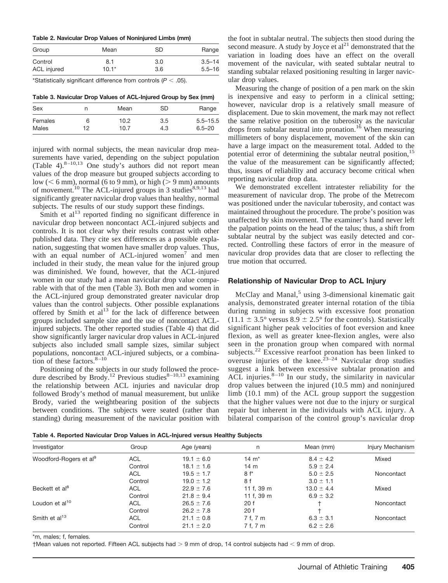#### **Table 2. Navicular Drop Values of Noninjured Limbs (mm)**

| Group       | Mean    | SD  | Range      |
|-------------|---------|-----|------------|
| Control     | 8.1     | 3.0 | $3.5 - 14$ |
| ACL injured | $10.1*$ | 3.6 | $5.5 - 16$ |

\*Statistically significant difference from controls  $(P < .05)$ .

**Table 3. Navicular Drop Values of ACL-Injured Group by Sex (mm)**

| Sex     | n  | Mean | SD  | Range        |
|---------|----|------|-----|--------------|
| Females | 6  | 10.2 | 3.5 | $5.5 - 15.5$ |
| Males   | 12 | 10.7 | 4.3 | $6.5 - 20$   |

injured with normal subjects, the mean navicular drop measurements have varied, depending on the subject population (Table 4). $8-10,13$  One study's authors did not report mean values of the drop measure but grouped subjects according to  $\text{low } (< 6 \text{ mm})$ , normal (6 to 9 mm), or high ( $> 9 \text{ mm}$ ) amounts of movement.<sup>10</sup> The ACL-injured groups in 3 studies<sup>8,9,13</sup> had significantly greater navicular drop values than healthy, normal subjects. The results of our study support these findings.

Smith et  $al<sup>13</sup>$  reported finding no significant difference in navicular drop between noncontact ACL-injured subjects and controls. It is not clear why their results contrast with other published data. They cite sex differences as a possible explanation, suggesting that women have smaller drop values. Thus, with an equal number of ACL-injured women<sup>7</sup> and men included in their study, the mean value for the injured group was diminished. We found, however, that the ACL-injured women in our study had a mean navicular drop value comparable with that of the men (Table 3). Both men and women in the ACL-injured group demonstrated greater navicular drop values than the control subjects. Other possible explanations offered by Smith et  $al<sup>13</sup>$  for the lack of difference between groups included sample size and the use of noncontact ACLinjured subjects. The other reported studies (Table 4) that did show significantly larger navicular drop values in ACL-injured subjects also included small sample sizes, similar subject populations, noncontact ACL-injured subjects, or a combination of these factors. $8-10$ 

Positioning of the subjects in our study followed the procedure described by Brody.<sup>12</sup> Previous studies<sup>8-10,13</sup> examining the relationship between ACL injuries and navicular drop followed Brody's method of manual measurement, but unlike Brody, varied the weightbearing position of the subjects between conditions. The subjects were seated (rather than standing) during measurement of the navicular position with the foot in subtalar neutral. The subjects then stood during the second measure. A study by Joyce et  $al<sup>21</sup>$  demonstrated that the variation in loading does have an effect on the overall movement of the navicular, with seated subtalar neutral to standing subtalar relaxed positioning resulting in larger navicular drop values.

Measuring the change of position of a pen mark on the skin is inexpensive and easy to perform in a clinical setting; however, navicular drop is a relatively small measure of displacement. Due to skin movement, the mark may not reflect the same relative position on the tuberosity as the navicular drops from subtalar neutral into pronation.<sup>16</sup> When measuring millimeters of bony displacement, movement of the skin can have a large impact on the measurement total. Added to the potential error of determining the subtalar neutral position,<sup>15</sup> the value of the measurement can be significantly affected; thus, issues of reliability and accuracy become critical when reporting navicular drop data.

We demonstrated excellent intratester reliability for the measurement of navicular drop. The probe of the Metrecom was positioned under the navicular tuberosity, and contact was maintained throughout the procedure. The probe's position was unaffected by skin movement. The examiner's hand never left the palpation points on the head of the talus; thus, a shift from subtalar neutral by the subject was easily detected and corrected. Controlling these factors of error in the measure of navicular drop provides data that are closer to reflecting the true motion that occurred.

#### **Relationship of Navicular Drop to ACL Injury**

 $McClay$  and Manal,<sup>5</sup> using 3-dimensional kinematic gait analysis, demonstrated greater internal rotation of the tibia during running in subjects with excessive foot pronation  $(11.1 \pm 3.5^{\circ}$  versus  $8.9 \pm 2.5^{\circ}$  for the controls). Statistically significant higher peak velocities of foot eversion and knee flexion, as well as greater knee-flexion angles, were also seen in the pronation group when compared with normal subjects.<sup>22</sup> Excessive rearfoot pronation has been linked to overuse injuries of the knee.<sup>23–24</sup> Navicular drop studies suggest a link between excessive subtalar pronation and  $\widetilde{ACL}$  injuries.<sup>8-10</sup> In our study, the similarity in navicular drop values between the injured (10.5 mm) and noninjured limb (10.1 mm) of the ACL group support the suggestion that the higher values were not due to the injury or surgical repair but inherent in the individuals with ACL injury. A bilateral comparison of the control group's navicular drop

**Table 4. Reported Navicular Drop Values in ACL-Injured versus Healthy Subjects**

| Investigator                       | Group      | Age (years)    | n                | Mean (mm)      | <b>Injury Mechanism</b> |
|------------------------------------|------------|----------------|------------------|----------------|-------------------------|
| Woodford-Rogers et al <sup>9</sup> | <b>ACL</b> | $19.1 \pm 6.0$ | $14 \text{ m}^*$ | $8.4 \pm 4.2$  | Mixed                   |
|                                    | Control    | $18.1 \pm 1.6$ | 14 <sub>m</sub>  | $5.9 \pm 2.4$  |                         |
|                                    | <b>ACL</b> | $19.5 \pm 1.7$ | 8 f*             | $5.0 \pm 2.5$  | Noncontact              |
|                                    | Control    | $19.0 \pm 1.2$ | 8 f              | $3.0 \pm 1.1$  |                         |
| Beckett et al <sup>8</sup>         | <b>ACL</b> | $22.9 \pm 7.6$ | 11 f, 39 m       | $13.0 \pm 4.4$ | Mixed                   |
|                                    | Control    | $21.8 \pm 9.4$ | 11 f. 39 m       | $6.9 \pm 3.2$  |                         |
| Loudon et al <sup>10</sup>         | <b>ACL</b> | $26.5 \pm 7.6$ | 20f              |                | Noncontact              |
|                                    | Control    | $26.2 \pm 7.8$ | 20f              |                |                         |
| Smith et al <sup>13</sup>          | <b>ACL</b> | $21.1 \pm 0.8$ | 7 f, 7 m         | $6.3 \pm 3.1$  | Noncontact              |
|                                    | Control    | $21.1 \pm 2.0$ | 7 f, 7 m         | $6.2 \pm 2.6$  |                         |

\*m, males; f, females.

 $\dagger$ Mean values not reported. Fifteen ACL subjects had  $> 9$  mm of drop, 14 control subjects had  $< 9$  mm of drop.